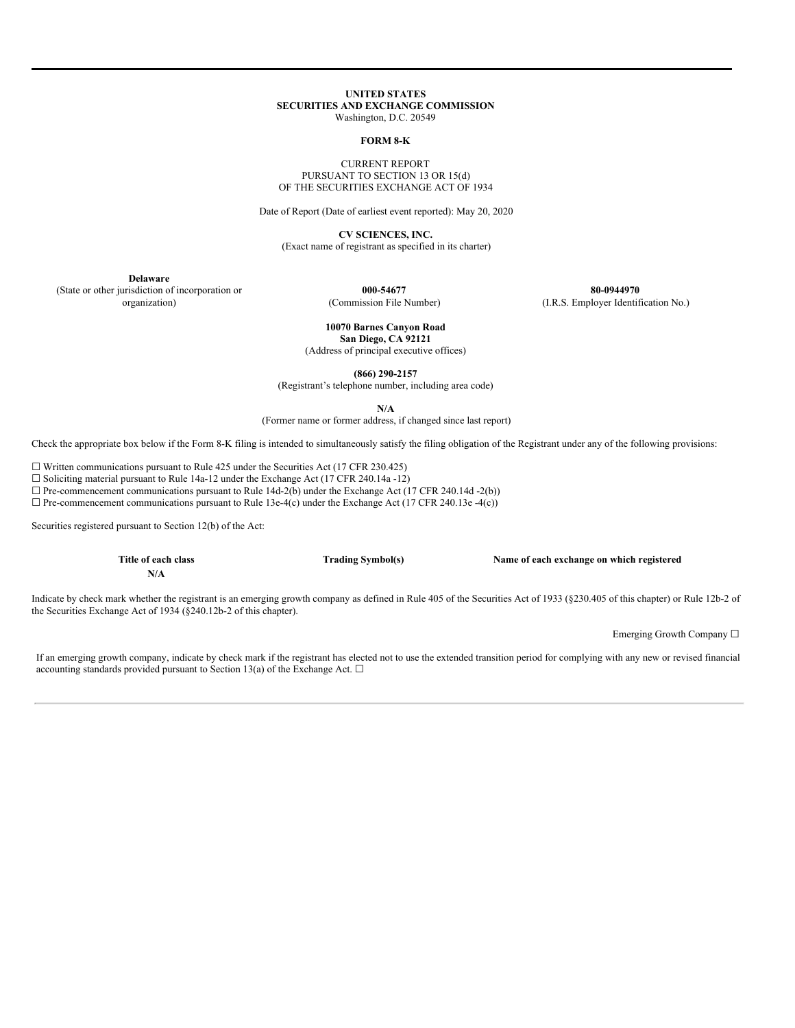### **UNITED STATES SECURITIES AND EXCHANGE COMMISSION** Washington, D.C. 20549

### **FORM 8-K**

### CURRENT REPORT PURSUANT TO SECTION 13 OR 15(d) OF THE SECURITIES EXCHANGE ACT OF 1934

Date of Report (Date of earliest event reported): May 20, 2020

**CV SCIENCES, INC.**

(Exact name of registrant as specified in its charter)

**Delaware**

(State or other jurisdiction of incorporation or organization)

**000-54677** (Commission File Number)

**80-0944970** (I.R.S. Employer Identification No.)

#### **10070 Barnes Canyon Road San Diego, CA 92121**

(Address of principal executive offices)

**(866) 290-2157**

(Registrant's telephone number, including area code)

**N/A**

(Former name or former address, if changed since last report)

Check the appropriate box below if the Form 8-K filing is intended to simultaneously satisfy the filing obligation of the Registrant under any of the following provisions:

 $\Box$  Written communications pursuant to Rule 425 under the Securities Act (17 CFR 230.425)

☐ Soliciting material pursuant to Rule 14a-12 under the Exchange Act (17 CFR 240.14a -12)

 $\Box$  Pre-commencement communications pursuant to Rule 14d-2(b) under the Exchange Act (17 CFR 240.14d -2(b))

 $\Box$  Pre-commencement communications pursuant to Rule 13e-4(c) under the Exchange Act (17 CFR 240.13e -4(c))

Securities registered pursuant to Section 12(b) of the Act:

**Title of each class Trading Symbol(s) Name of each exchange on which registered**

**N/A**

Indicate by check mark whether the registrant is an emerging growth company as defined in Rule 405 of the Securities Act of 1933 (§230.405 of this chapter) or Rule 12b-2 of the Securities Exchange Act of 1934 (§240.12b-2 of this chapter).

Emerging Growth Company ☐

If an emerging growth company, indicate by check mark if the registrant has elected not to use the extended transition period for complying with any new or revised financial accounting standards provided pursuant to Section 13(a) of the Exchange Act.  $\square$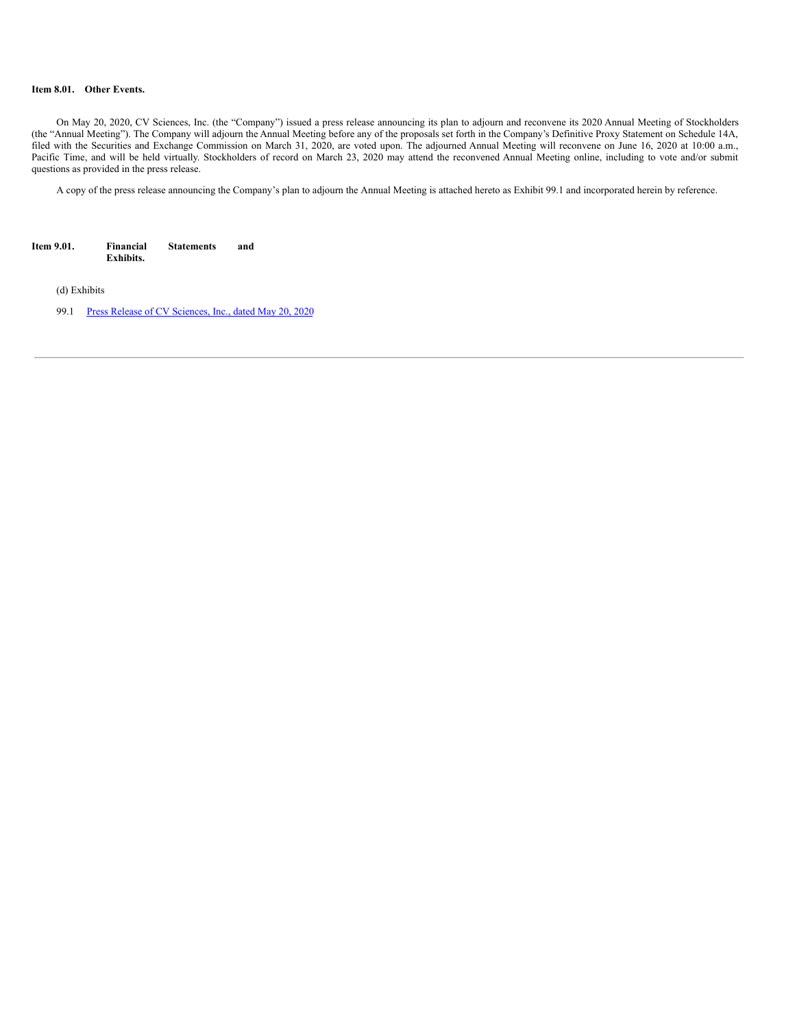## **Item 8.01. Other Events.**

On May 20, 2020, CV Sciences, Inc. (the "Company") issued a press release announcing its plan to adjourn and reconvene its 2020 Annual Meeting of Stockholders (the "Annual Meeting"). The Company will adjourn the Annual Meeting before any of the proposals set forth in the Company's Definitive Proxy Statement on Schedule 14A, filed with the Securities and Exchange Commission on March 31, 2020, are voted upon. The adjourned Annual Meeting will reconvene on June 16, 2020 at 10:00 a.m., Pacific Time, and will be held virtually. Stockholders of record on March 23, 2020 may attend the reconvened Annual Meeting online, including to vote and/or submit questions as provided in the press release.

A copy of the press release announcing the Company's plan to adjourn the Annual Meeting is attached hereto as Exhibit 99.1 and incorporated herein by reference.

| Item 9.01. | Financial        | <b>Statements</b> | and |
|------------|------------------|-------------------|-----|
|            | <b>Exhibits.</b> |                   |     |

(d) Exhibits

99.1 Press Release of CV [Sciences,](#page-3-0) Inc., dated May 20, 2020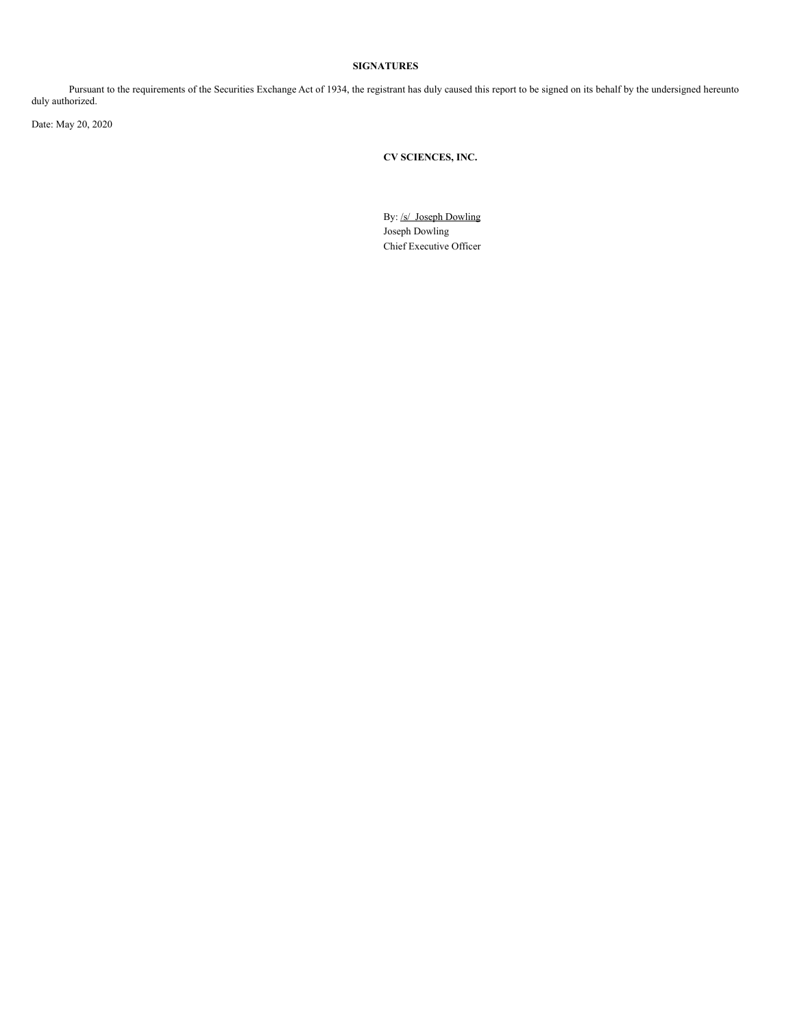# **SIGNATURES**

Pursuant to the requirements of the Securities Exchange Act of 1934, the registrant has duly caused this report to be signed on its behalf by the undersigned hereunto duly authorized.

Date: May 20, 2020

**CV SCIENCES, INC.**

By: /s/ Joseph Dowling Joseph Dowling Chief Executive Officer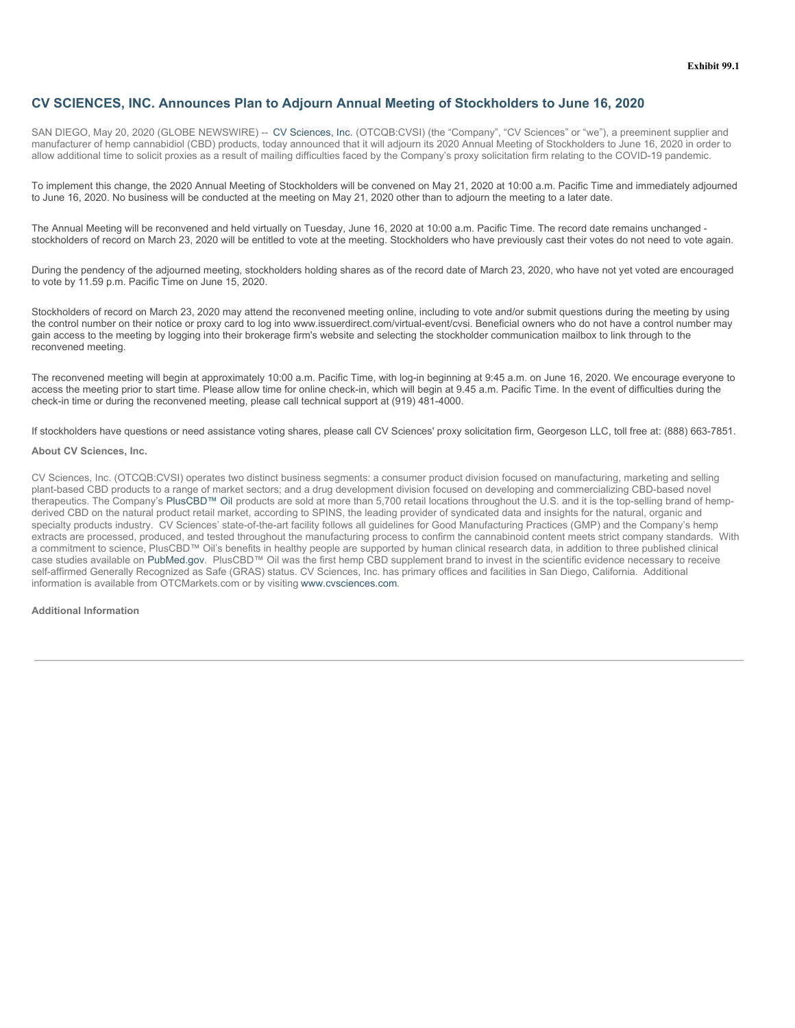# <span id="page-3-0"></span>**CV SCIENCES, INC. Announces Plan to Adjourn Annual Meeting of Stockholders to June 16, 2020**

SAN DIEGO, May 20, 2020 (GLOBE NEWSWIRE) -- CV Sciences, Inc. (OTCQB:CVSI) (the "Company", "CV Sciences" or "we"), a preeminent supplier and manufacturer of hemp cannabidiol (CBD) products, today announced that it will adjourn its 2020 Annual Meeting of Stockholders to June 16, 2020 in order to allow additional time to solicit proxies as a result of mailing difficulties faced by the Company's proxy solicitation firm relating to the COVID-19 pandemic.

To implement this change, the 2020 Annual Meeting of Stockholders will be convened on May 21, 2020 at 10:00 a.m. Pacific Time and immediately adjourned to June 16, 2020. No business will be conducted at the meeting on May 21, 2020 other than to adjourn the meeting to a later date.

The Annual Meeting will be reconvened and held virtually on Tuesday, June 16, 2020 at 10:00 a.m. Pacific Time. The record date remains unchanged stockholders of record on March 23, 2020 will be entitled to vote at the meeting. Stockholders who have previously cast their votes do not need to vote again.

During the pendency of the adjourned meeting, stockholders holding shares as of the record date of March 23, 2020, who have not yet voted are encouraged to vote by 11.59 p.m. Pacific Time on June 15, 2020.

Stockholders of record on March 23, 2020 may attend the reconvened meeting online, including to vote and/or submit questions during the meeting by using the control number on their notice or proxy card to log into www.issuerdirect.com/virtual-event/cvsi. Beneficial owners who do not have a control number may gain access to the meeting by logging into their brokerage firm's website and selecting the stockholder communication mailbox to link through to the reconvened meeting.

The reconvened meeting will begin at approximately 10:00 a.m. Pacific Time, with log-in beginning at 9:45 a.m. on June 16, 2020. We encourage everyone to access the meeting prior to start time. Please allow time for online check-in, which will begin at 9.45 a.m. Pacific Time. In the event of difficulties during the check-in time or during the reconvened meeting, please call technical support at (919) 481-4000.

If stockholders have questions or need assistance voting shares, please call CV Sciences' proxy solicitation firm, Georgeson LLC, toll free at: (888) 663-7851.

### **About CV Sciences, Inc.**

CV Sciences, Inc. (OTCQB:CVSI) operates two distinct business segments: a consumer product division focused on manufacturing, marketing and selling plant-based CBD products to a range of market sectors; and a drug development division focused on developing and commercializing CBD-based novel therapeutics. The Company's PlusCBD™ Oil products are sold at more than 5,700 retail locations throughout the U.S. and it is the top-selling brand of hempderived CBD on the natural product retail market, according to SPINS, the leading provider of syndicated data and insights for the natural, organic and specialty products industry. CV Sciences' state-of-the-art facility follows all guidelines for Good Manufacturing Practices (GMP) and the Company's hemp extracts are processed, produced, and tested throughout the manufacturing process to confirm the cannabinoid content meets strict company standards. With a commitment to science, PlusCBD™ Oil's benefits in healthy people are supported by human clinical research data, in addition to three published clinical case studies available on PubMed.gov. PlusCBD™ Oil was the first hemp CBD supplement brand to invest in the scientific evidence necessary to receive self-affirmed Generally Recognized as Safe (GRAS) status. CV Sciences, Inc. has primary offices and facilities in San Diego, California. Additional information is available from OTCMarkets.com or by visiting www.cvsciences.com.

## **Additional Information**